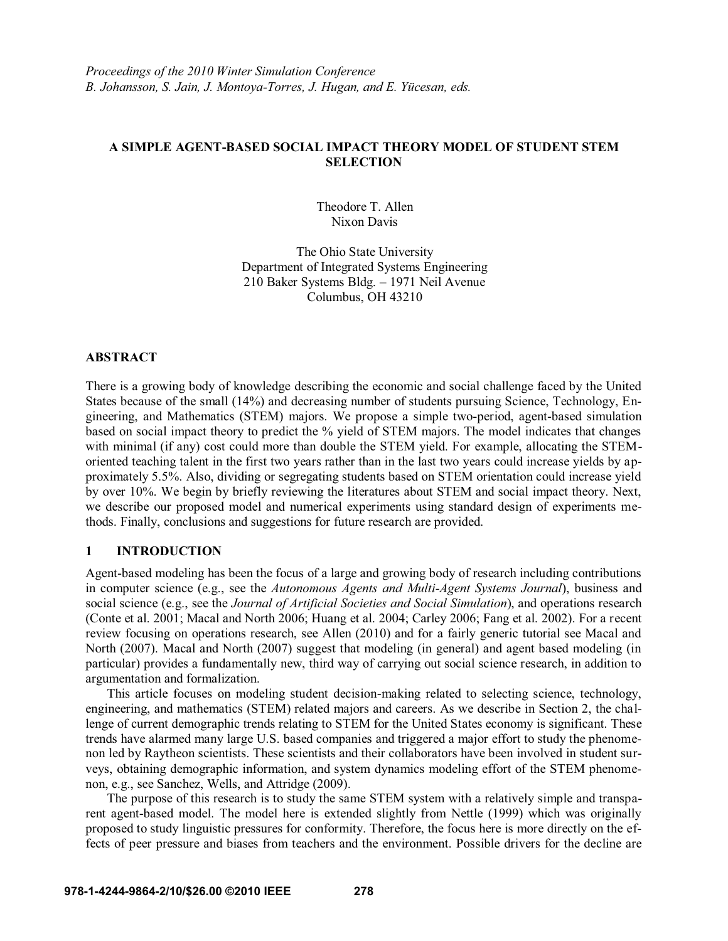# **A SIMPLE AGENT-BASED SOCIAL IMPACT THEORY MODEL OF STUDENT STEM SELECTION**

Theodore T. Allen Nixon Davis

The Ohio State University Department of Integrated Systems Engineering 210 Baker Systems Bldg. - 1971 Neil Avenue Columbus, OH 43210

### **ABSTRACT**

There is a growing body of knowledge describing the economic and social challenge faced by the United States because of the small (14%) and decreasing number of students pursuing Science, Technology, Engineering, and Mathematics (STEM) majors. We propose a simple two-period, agent-based simulation based on social impact theory to predict the % yield of STEM majors. The model indicates that changes with minimal (if any) cost could more than double the STEM yield. For example, allocating the STEMoriented teaching talent in the first two years rather than in the last two years could increase yields by approximately 5.5%. Also, dividing or segregating students based on STEM orientation could increase yield by over 10%. We begin by briefly reviewing the literatures about STEM and social impact theory. Next, we describe our proposed model and numerical experiments using standard design of experiments methods. Finally, conclusions and suggestions for future research are provided.

### **1 INTRODUCTION**

Agent-based modeling has been the focus of a large and growing body of research including contributions in computer science (e.g., see the *Autonomous Agents and Multi-Agent Systems Journal*), business and social science (e.g., see the *Journal of Artificial Societies and Social Simulation*), and operations research (Conte et al. 2001; Macal and North 2006; Huang et al. 2004; Carley 2006; Fang et al. 2002). For a recent review focusing on operations research, see Allen (2010) and for a fairly generic tutorial see Macal and North (2007). Macal and North (2007) suggest that modeling (in general) and agent based modeling (in particular) provides a fundamentally new, third way of carrying out social science research, in addition to argumentation and formalization.

 This article focuses on modeling student decision-making related to selecting science, technology, engineering, and mathematics (STEM) related majors and careers. As we describe in Section 2, the challenge of current demographic trends relating to STEM for the United States economy is significant. These trends have alarmed many large U.S. based companies and triggered a major effort to study the phenomenon led by Raytheon scientists. These scientists and their collaborators have been involved in student surveys, obtaining demographic information, and system dynamics modeling effort of the STEM phenomenon, e.g., see Sanchez, Wells, and Attridge (2009).

 The purpose of this research is to study the same STEM system with a relatively simple and transparent agent-based model. The model here is extended slightly from Nettle (1999) which was originally proposed to study linguistic pressures for conformity. Therefore, the focus here is more directly on the effects of peer pressure and biases from teachers and the environment. Possible drivers for the decline are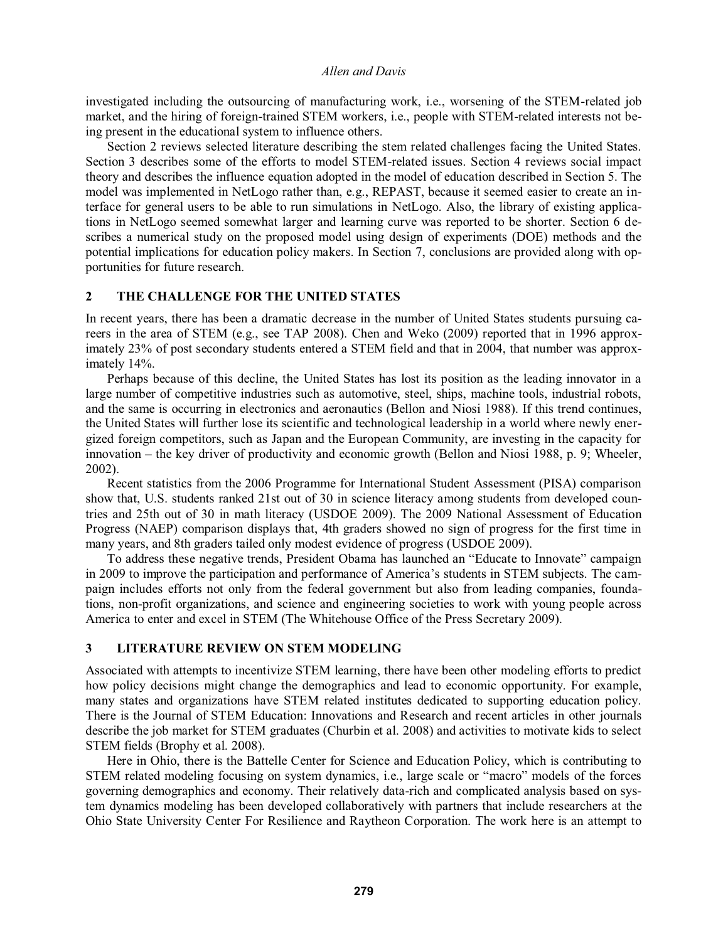investigated including the outsourcing of manufacturing work, i.e., worsening of the STEM-related job market, and the hiring of foreign-trained STEM workers, i.e., people with STEM-related interests not being present in the educational system to influence others.

 Section 2 reviews selected literature describing the stem related challenges facing the United States. Section 3 describes some of the efforts to model STEM-related issues. Section 4 reviews social impact theory and describes the influence equation adopted in the model of education described in Section 5. The model was implemented in NetLogo rather than, e.g., REPAST, because it seemed easier to create an interface for general users to be able to run simulations in NetLogo. Also, the library of existing applications in NetLogo seemed somewhat larger and learning curve was reported to be shorter. Section 6 describes a numerical study on the proposed model using design of experiments (DOE) methods and the potential implications for education policy makers. In Section 7, conclusions are provided along with opportunities for future research.

## **2 THE CHALLENGE FOR THE UNITED STATES**

In recent years, there has been a dramatic decrease in the number of United States students pursuing careers in the area of STEM (e.g., see TAP 2008). Chen and Weko (2009) reported that in 1996 approximately 23% of post secondary students entered a STEM field and that in 2004, that number was approximately 14%.

 Perhaps because of this decline, the United States has lost its position as the leading innovator in a large number of competitive industries such as automotive, steel, ships, machine tools, industrial robots, and the same is occurring in electronics and aeronautics (Bellon and Niosi 1988). If this trend continues, the United States will further lose its scientific and technological leadership in a world where newly energized foreign competitors, such as Japan and the European Community, are investing in the capacity for innovation - the key driver of productivity and economic growth (Bellon and Niosi 1988, p. 9; Wheeler, 2002).

 Recent statistics from the 2006 Programme for International Student Assessment (PISA) comparison show that, U.S. students ranked 21st out of 30 in science literacy among students from developed countries and 25th out of 30 in math literacy (USDOE 2009). The 2009 National Assessment of Education Progress (NAEP) comparison displays that, 4th graders showed no sign of progress for the first time in many years, and 8th graders tailed only modest evidence of progress (USDOE 2009).

To address these negative trends, President Obama has launched an "Educate to Innovate" campaign in 2009 to improve the participation and performance of America's students in STEM subjects. The campaign includes efforts not only from the federal government but also from leading companies, foundations, non-profit organizations, and science and engineering societies to work with young people across America to enter and excel in STEM (The Whitehouse Office of the Press Secretary 2009).

# **3 LITERATURE REVIEW ON STEM MODELING**

Associated with attempts to incentivize STEM learning, there have been other modeling efforts to predict how policy decisions might change the demographics and lead to economic opportunity. For example, many states and organizations have STEM related institutes dedicated to supporting education policy. There is the Journal of STEM Education: Innovations and Research and recent articles in other journals describe the job market for STEM graduates (Churbin et al. 2008) and activities to motivate kids to select STEM fields (Brophy et al. 2008).

 Here in Ohio, there is the Battelle Center for Science and Education Policy, which is contributing to STEM related modeling focusing on system dynamics, i.e., large scale or "macro" models of the forces governing demographics and economy. Their relatively data-rich and complicated analysis based on system dynamics modeling has been developed collaboratively with partners that include researchers at the Ohio State University Center For Resilience and Raytheon Corporation. The work here is an attempt to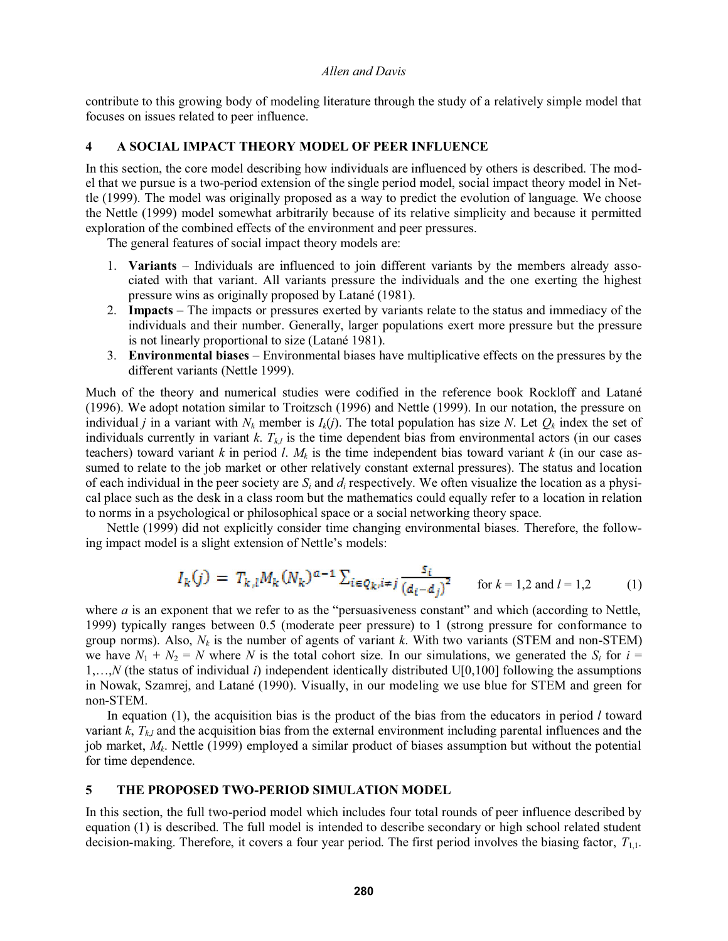contribute to this growing body of modeling literature through the study of a relatively simple model that focuses on issues related to peer influence.

## **4 A SOCIAL IMPACT THEORY MODEL OF PEER INFLUENCE**

In this section, the core model describing how individuals are influenced by others is described. The model that we pursue is a two-period extension of the single period model, social impact theory model in Nettle (1999). The model was originally proposed as a way to predict the evolution of language. We choose the Nettle (1999) model somewhat arbitrarily because of its relative simplicity and because it permitted exploration of the combined effects of the environment and peer pressures.

The general features of social impact theory models are:

- 1. Variants Individuals are influenced to join different variants by the members already associated with that variant. All variants pressure the individuals and the one exerting the highest pressure wins as originally proposed by Latané (1981).
- 2. **Impacts** The impacts or pressures exerted by variants relate to the status and immediacy of the individuals and their number. Generally, larger populations exert more pressure but the pressure is not linearly proportional to size (Latané 1981).
- 3. **Environmental biases** Environmental biases have multiplicative effects on the pressures by the different variants (Nettle 1999).

Much of the theory and numerical studies were codified in the reference book Rockloff and Latané (1996). We adopt notation similar to Troitzsch (1996) and Nettle (1999). In our notation, the pressure on individual *j* in a variant with  $N_k$  member is  $I_k(j)$ . The total population has size N. Let  $Q_k$  index the set of individuals currently in variant  $k$ .  $T_{kl}$  is the time dependent bias from environmental actors (in our cases teachers) toward variant  $k$  in period *l*.  $M_k$  is the time independent bias toward variant  $k$  (in our case assumed to relate to the job market or other relatively constant external pressures). The status and location of each individual in the peer society are *Si* and *di* respectively. We often visualize the location as a physical place such as the desk in a class room but the mathematics could equally refer to a location in relation to norms in a psychological or philosophical space or a social networking theory space.

 Nettle (1999) did not explicitly consider time changing environmental biases. Therefore, the following impact model is a slight extension of Nettle's models:

$$
I_k(j) = T_{k,l} M_k(N_k)^{\alpha - 1} \sum_{i \in Q_k, i \neq j} \frac{s_i}{(d_i - d_j)^2} \quad \text{for } k = 1, 2 \text{ and } l = 1, 2 \quad (1)
$$

where  $a$  is an exponent that we refer to as the "persuasiveness constant" and which (according to Nettle, 1999) typically ranges between 0.5 (moderate peer pressure) to 1 (strong pressure for conformance to group norms). Also,  $N_k$  is the number of agents of variant  $k$ . With two variants (STEM and non-STEM) we have  $N_1 + N_2 = N$  where *N* is the total cohort size. In our simulations, we generated the  $S_i$  for  $i =$ 1.....*N* (the status of individual *i*) independent identically distributed U[0,100] following the assumptions in Nowak, Szamrej, and Latané (1990). Visually, in our modeling we use blue for STEM and green for non-STEM.

In equation (1), the acquisition bias is the product of the bias from the educators in period *l* toward variant  $k$ ,  $T_{k,l}$  and the acquisition bias from the external environment including parental influences and the job market, *Mk*. Nettle (1999) employed a similar product of biases assumption but without the potential for time dependence.

### **5 THE PROPOSED TWO-PERIOD SIMULATION MODEL**

In this section, the full two-period model which includes four total rounds of peer influence described by equation (1) is described. The full model is intended to describe secondary or high school related student decision-making. Therefore, it covers a four year period. The first period involves the biasing factor,  $T_{1,1}$ .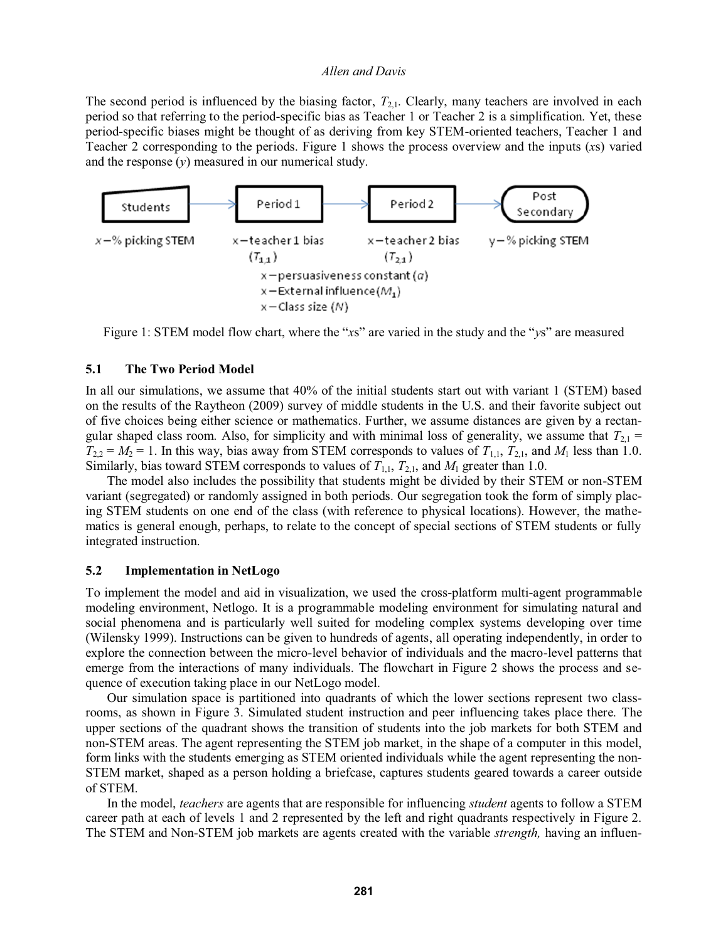The second period is influenced by the biasing factor,  $T_{2,1}$ . Clearly, many teachers are involved in each period so that referring to the period-specific bias as Teacher 1 or Teacher 2 is a simplification. Yet, these period-specific biases might be thought of as deriving from key STEM-oriented teachers, Teacher 1 and Teacher 2 corresponding to the periods. Figure 1 shows the process overview and the inputs (*x*s) varied and the response (*y*) measured in our numerical study.



Figure 1: STEM model flow chart, where the " $xs$ " are varied in the study and the " $ys$ " are measured

### **5.1 The Two Period Model**

In all our simulations, we assume that 40% of the initial students start out with variant 1 (STEM) based on the results of the Raytheon (2009) survey of middle students in the U.S. and their favorite subject out of five choices being either science or mathematics. Further, we assume distances are given by a rectangular shaped class room. Also, for simplicity and with minimal loss of generality, we assume that  $T_{2,1}$  =  $T_{2,2} = M_2 = 1$ . In this way, bias away from STEM corresponds to values of  $T_{1,1}$ ,  $T_{2,1}$ , and  $M_1$  less than 1.0. Similarly, bias toward STEM corresponds to values of  $T_{1,1}$ ,  $T_{2,1}$ , and  $M_1$  greater than 1.0.

 The model also includes the possibility that students might be divided by their STEM or non-STEM variant (segregated) or randomly assigned in both periods. Our segregation took the form of simply placing STEM students on one end of the class (with reference to physical locations). However, the mathematics is general enough, perhaps, to relate to the concept of special sections of STEM students or fully integrated instruction.

### **5.2 Implementation in NetLogo**

To implement the model and aid in visualization, we used the cross-platform multi-agent programmable modeling environment, Netlogo. It is a programmable modeling environment for simulating natural and social phenomena and is particularly well suited for modeling complex systems developing over time (Wilensky 1999). Instructions can be given to hundreds of agents, all operating independently, in order to explore the connection between the micro-level behavior of individuals and the macro-level patterns that emerge from the interactions of many individuals. The flowchart in Figure 2 shows the process and sequence of execution taking place in our NetLogo model.

 Our simulation space is partitioned into quadrants of which the lower sections represent two classrooms, as shown in Figure 3. Simulated student instruction and peer influencing takes place there. The upper sections of the quadrant shows the transition of students into the job markets for both STEM and non-STEM areas. The agent representing the STEM job market, in the shape of a computer in this model, form links with the students emerging as STEM oriented individuals while the agent representing the non-STEM market, shaped as a person holding a briefcase, captures students geared towards a career outside of STEM.

 In the model, *teachers* are agents that are responsible for influencing *student* agents to follow a STEM career path at each of levels 1 and 2 represented by the left and right quadrants respectively in Figure 2. The STEM and Non-STEM job markets are agents created with the variable *strength,* having an influen-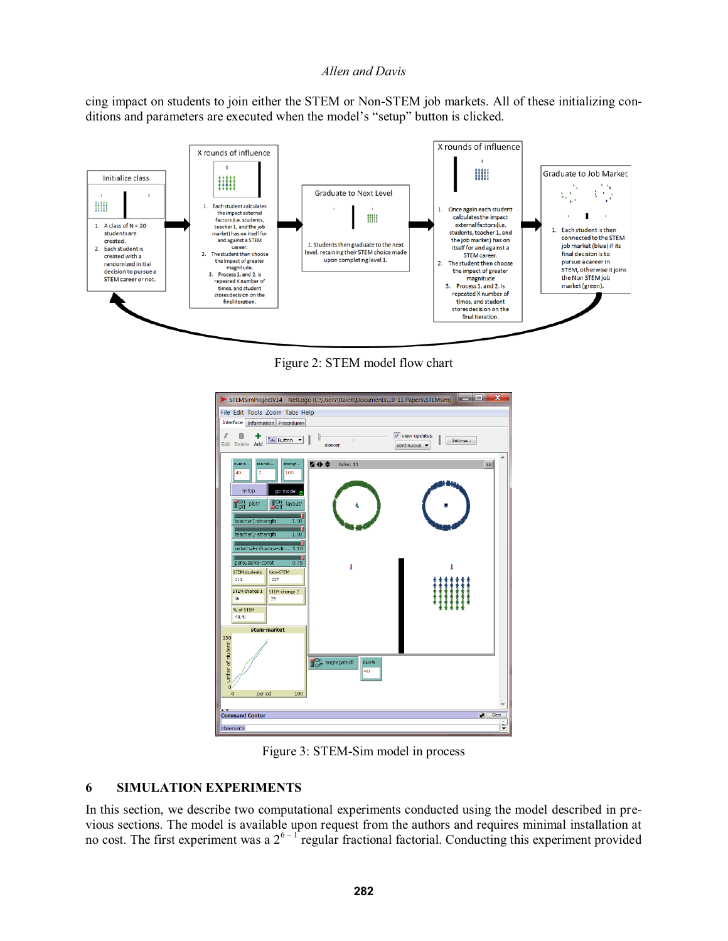cing impact on students to join either the STEM or Non-STEM job markets. All of these initializing conditions and parameters are executed when the model's "setup" button is clicked.



Figure 2: STEM model flow chart



Figure 3: STEM-Sim model in process

# **6 SIMULATION EXPERIMENTS**

In this section, we describe two computational experiments conducted using the model described in previous sections. The model is available upon request from the authors and requires minimal installation at no cost. The first experiment was a  $2^{6-1}$  regular fractional factorial. Conducting this experiment provided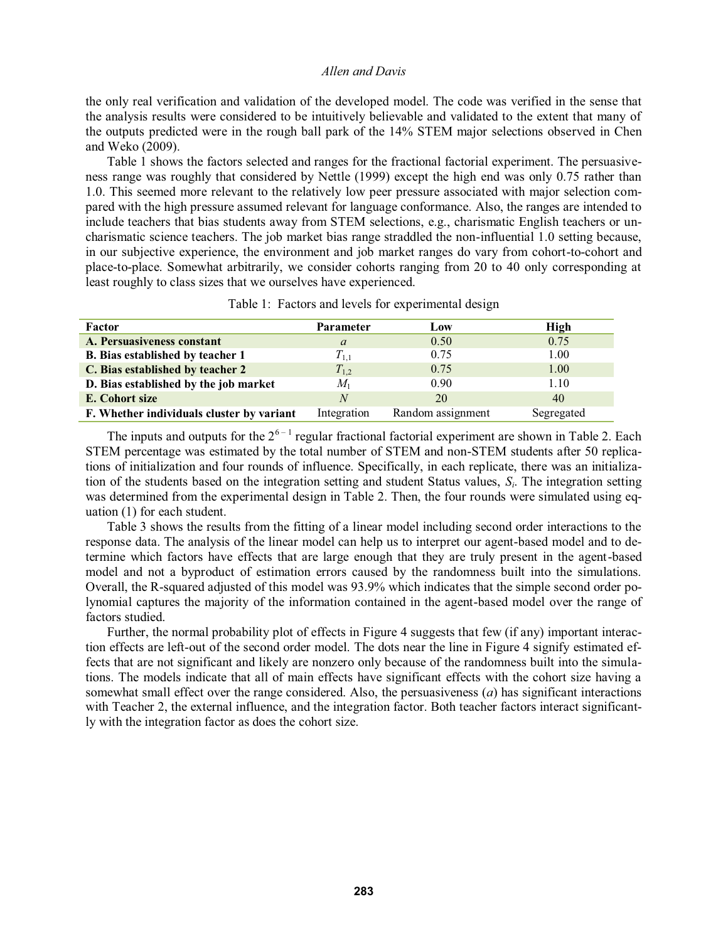the only real verification and validation of the developed model. The code was verified in the sense that the analysis results were considered to be intuitively believable and validated to the extent that many of the outputs predicted were in the rough ball park of the 14% STEM major selections observed in Chen and Weko (2009).

 Table 1 shows the factors selected and ranges for the fractional factorial experiment. The persuasiveness range was roughly that considered by Nettle (1999) except the high end was only 0.75 rather than 1.0. This seemed more relevant to the relatively low peer pressure associated with major selection compared with the high pressure assumed relevant for language conformance. Also, the ranges are intended to include teachers that bias students away from STEM selections, e.g., charismatic English teachers or uncharismatic science teachers. The job market bias range straddled the non-influential 1.0 setting because, in our subjective experience, the environment and job market ranges do vary from cohort-to-cohort and place-to-place. Somewhat arbitrarily, we consider cohorts ranging from 20 to 40 only corresponding at least roughly to class sizes that we ourselves have experienced.

| Factor                                    | <b>Parameter</b> | Low               | High       |
|-------------------------------------------|------------------|-------------------|------------|
| A. Persuasiveness constant                | a                | 0.50              | 0.75       |
| B. Bias established by teacher 1          | $T_{1,1}$        | 0.75              | 1.00       |
| C. Bias established by teacher 2          | $T_{1,2}$        | 0.75              | 1.00       |
| D. Bias established by the job market     | $M_1$            | 0.90              | 1.10       |
| E. Cohort size                            | N                | 20                | 40         |
| F. Whether individuals cluster by variant | Integration      | Random assignment | Segregated |

Table 1: Factors and levels for experimental design

The inputs and outputs for the  $2^{6-1}$  regular fractional factorial experiment are shown in Table 2. Each STEM percentage was estimated by the total number of STEM and non-STEM students after 50 replications of initialization and four rounds of influence. Specifically, in each replicate, there was an initialization of the students based on the integration setting and student Status values, *Si*. The integration setting was determined from the experimental design in Table 2. Then, the four rounds were simulated using equation (1) for each student.

 Table 3 shows the results from the fitting of a linear model including second order interactions to the response data. The analysis of the linear model can help us to interpret our agent-based model and to determine which factors have effects that are large enough that they are truly present in the agent-based model and not a byproduct of estimation errors caused by the randomness built into the simulations. Overall, the R-squared adjusted of this model was 93.9% which indicates that the simple second order polynomial captures the majority of the information contained in the agent-based model over the range of factors studied.

 Further, the normal probability plot of effects in Figure 4 suggests that few (if any) important interaction effects are left-out of the second order model. The dots near the line in Figure 4 signify estimated effects that are not significant and likely are nonzero only because of the randomness built into the simulations. The models indicate that all of main effects have significant effects with the cohort size having a somewhat small effect over the range considered. Also, the persuasiveness (*a*) has significant interactions with Teacher 2, the external influence, and the integration factor. Both teacher factors interact significantly with the integration factor as does the cohort size.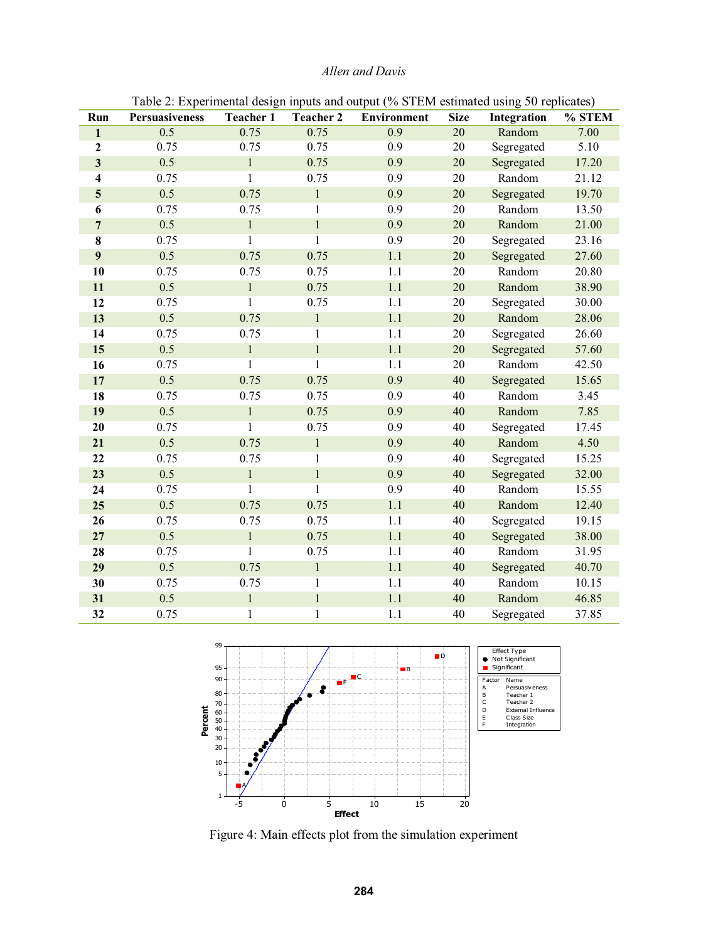| Run                     | <b>Persuasiveness</b> | <b>Teacher 1</b> | <b>Teacher 2</b> | <b>Environment</b> | <b>Size</b> | Integration | % STEM |
|-------------------------|-----------------------|------------------|------------------|--------------------|-------------|-------------|--------|
| $\mathbf{1}$            | 0.5                   | 0.75             | 0.75             | $\overline{0.9}$   | 20          | Random      | 7.00   |
| $\overline{\mathbf{c}}$ | 0.75                  | 0.75             | 0.75             | 0.9                | 20          | Segregated  | 5.10   |
| $\mathbf{3}$            | 0.5                   | $\mathbf{1}$     | 0.75             | 0.9                | 20          | Segregated  | 17.20  |
| $\overline{\mathbf{4}}$ | 0.75                  | 1                | 0.75             | 0.9                | 20          | Random      | 21.12  |
| 5                       | 0.5                   | 0.75             | $\,1$            | 0.9                | 20          | Segregated  | 19.70  |
| 6                       | 0.75                  | 0.75             | $\mathbf{1}$     | 0.9                | 20          | Random      | 13.50  |
| $\overline{7}$          | 0.5                   | $\,1$            | $\mathbf{1}$     | 0.9                | 20          | Random      | 21.00  |
| 8                       | 0.75                  | 1                | $\mathbf{1}$     | 0.9                | 20          | Segregated  | 23.16  |
| 9                       | 0.5                   | 0.75             | 0.75             | 1.1                | 20          | Segregated  | 27.60  |
| 10                      | 0.75                  | 0.75             | 0.75             | 1.1                | 20          | Random      | 20.80  |
| 11                      | 0.5                   | $\mathbf 1$      | 0.75             | 1.1                | 20          | Random      | 38.90  |
| 12                      | 0.75                  | 1                | 0.75             | 1.1                | 20          | Segregated  | 30.00  |
| 13                      | 0.5                   | 0.75             | $\mathbf{1}$     | 1.1                | 20          | Random      | 28.06  |
| 14                      | 0.75                  | 0.75             | $\mathbf{1}$     | 1.1                | 20          | Segregated  | 26.60  |
| 15                      | 0.5                   | $\mathbf 1$      | $\mathbf{1}$     | 1.1                | 20          | Segregated  | 57.60  |
| 16                      | 0.75                  | 1                | $\mathbf{1}$     | 1.1                | 20          | Random      | 42.50  |
| 17                      | 0.5                   | 0.75             | 0.75             | 0.9                | 40          | Segregated  | 15.65  |
| 18                      | 0.75                  | 0.75             | 0.75             | 0.9                | 40          | Random      | 3.45   |
| 19                      | 0.5                   | $\,1$            | 0.75             | 0.9                | 40          | Random      | 7.85   |
| 20                      | 0.75                  | 1                | 0.75             | 0.9                | 40          | Segregated  | 17.45  |
| 21                      | 0.5                   | 0.75             | $\mathbf{1}$     | 0.9                | 40          | Random      | 4.50   |
| 22                      | 0.75                  | 0.75             | 1                | 0.9                | 40          | Segregated  | 15.25  |
| 23                      | 0.5                   | $\mathbf{1}$     | $\mathbf{1}$     | 0.9                | 40          | Segregated  | 32.00  |
| 24                      | 0.75                  | 1                | $\mathbf{1}$     | 0.9                | 40          | Random      | 15.55  |
| 25                      | 0.5                   | 0.75             | 0.75             | 1.1                | 40          | Random      | 12.40  |
| 26                      | 0.75                  | 0.75             | 0.75             | 1.1                | 40          | Segregated  | 19.15  |
| 27                      | 0.5                   | $\,1$            | 0.75             | 1.1                | 40          | Segregated  | 38.00  |
| 28                      | 0.75                  | $\mathbf{1}$     | 0.75             | 1.1                | 40          | Random      | 31.95  |
| 29                      | 0.5                   | 0.75             | $\mathbf{1}$     | 1.1                | 40          | Segregated  | 40.70  |
| 30                      | 0.75                  | 0.75             | 1                | 1.1                | 40          | Random      | 10.15  |
| 31                      | 0.5                   | $\,1$            | $\mathbf{1}$     | 1.1                | 40          | Random      | 46.85  |
| 32                      | 0.75                  | $\mathbf{1}$     | $\mathbf{1}$     | 1.1                | 40          | Segregated  | 37.85  |

Table 2: Experimental design inputs and output (% STEM estimated using 50 replicates)



Figure 4: Main effects plot from the simulation experiment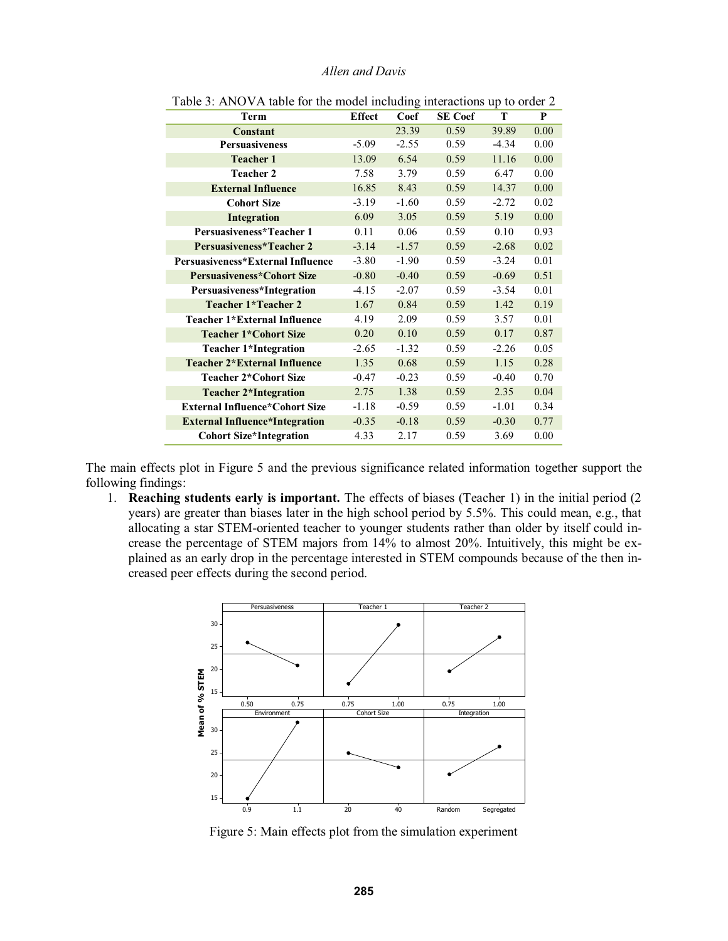| Term                                  | <b>Effect</b> | Coef    | <b>SE</b> Coef | T       | P    |
|---------------------------------------|---------------|---------|----------------|---------|------|
| <b>Constant</b>                       |               | 23.39   | 0.59           | 39.89   | 0.00 |
| <b>Persuasiveness</b>                 | $-5.09$       | $-2.55$ | 0.59           | $-4.34$ | 0.00 |
| <b>Teacher 1</b>                      | 13.09         | 6.54    | 0.59           | 11.16   | 0.00 |
| <b>Teacher 2</b>                      | 7.58          | 3.79    | 0.59           | 6.47    | 0.00 |
| <b>External Influence</b>             | 16.85         | 8.43    | 0.59           | 14.37   | 0.00 |
| <b>Cohort Size</b>                    | $-3.19$       | $-1.60$ | 0.59           | $-2.72$ | 0.02 |
| Integration                           | 6.09          | 3.05    | 0.59           | 5.19    | 0.00 |
| Persuasiveness*Teacher 1              | 0.11          | 0.06    | 0.59           | 0.10    | 0.93 |
| Persuasiveness*Teacher 2              | $-3.14$       | $-1.57$ | 0.59           | $-2.68$ | 0.02 |
| Persuasiveness*External Influence     | $-3.80$       | $-1.90$ | 0.59           | $-3.24$ | 0.01 |
| <b>Persuasiveness*Cohort Size</b>     | $-0.80$       | $-0.40$ | 0.59           | $-0.69$ | 0.51 |
| Persuasiveness*Integration            | $-4.15$       | $-2.07$ | 0.59           | $-3.54$ | 0.01 |
| <b>Teacher 1*Teacher 2</b>            | 1.67          | 0.84    | 0.59           | 1.42    | 0.19 |
| <b>Teacher 1*External Influence</b>   | 4.19          | 2.09    | 0.59           | 3.57    | 0.01 |
| <b>Teacher 1*Cohort Size</b>          | 0.20          | 0.10    | 0.59           | 0.17    | 0.87 |
| <b>Teacher 1*Integration</b>          | $-2.65$       | $-1.32$ | 0.59           | $-2.26$ | 0.05 |
| <b>Teacher 2*External Influence</b>   | 1.35          | 0.68    | 0.59           | 1.15    | 0.28 |
| <b>Teacher 2*Cohort Size</b>          | $-0.47$       | $-0.23$ | 0.59           | $-0.40$ | 0.70 |
| <b>Teacher 2*Integration</b>          | 2.75          | 1.38    | 0.59           | 2.35    | 0.04 |
| <b>External Influence*Cohort Size</b> | $-1.18$       | $-0.59$ | 0.59           | $-1.01$ | 0.34 |
| <b>External Influence*Integration</b> | $-0.35$       | $-0.18$ | 0.59           | $-0.30$ | 0.77 |
| <b>Cohort Size*Integration</b>        | 4.33          | 2.17    | 0.59           | 3.69    | 0.00 |

Table 3: ANOVA table for the model including interactions up to order 2

The main effects plot in Figure 5 and the previous significance related information together support the following findings:

1. **Reaching students early is important.** The effects of biases (Teacher 1) in the initial period (2 years) are greater than biases later in the high school period by 5.5%. This could mean, e.g., that allocating a star STEM-oriented teacher to younger students rather than older by itself could increase the percentage of STEM majors from 14% to almost 20%. Intuitively, this might be explained as an early drop in the percentage interested in STEM compounds because of the then increased peer effects during the second period.



Figure 5: Main effects plot from the simulation experiment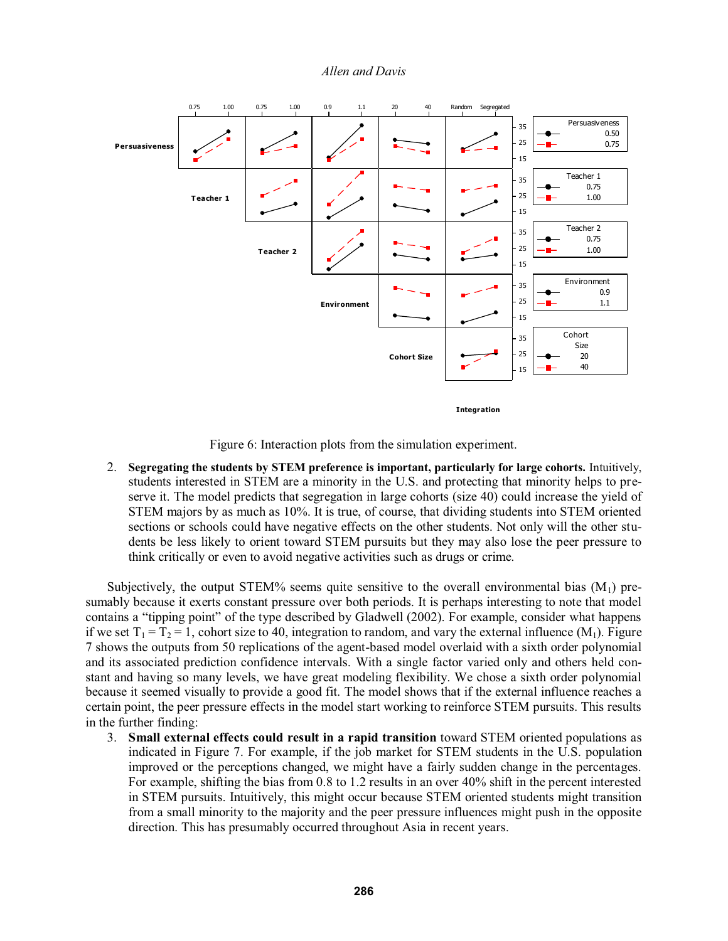

Figure 6: Interaction plots from the simulation experiment.

2. **Segregating the students by STEM preference is important, particularly for large cohorts.** Intuitively, students interested in STEM are a minority in the U.S. and protecting that minority helps to preserve it. The model predicts that segregation in large cohorts (size 40) could increase the yield of STEM majors by as much as 10%. It is true, of course, that dividing students into STEM oriented sections or schools could have negative effects on the other students. Not only will the other students be less likely to orient toward STEM pursuits but they may also lose the peer pressure to think critically or even to avoid negative activities such as drugs or crime.

Subjectively, the output STEM% seems quite sensitive to the overall environmental bias  $(M_1)$  presumably because it exerts constant pressure over both periods. It is perhaps interesting to note that model contains a "tipping point" of the type described by Gladwell (2002). For example, consider what happens if we set  $T_1 = T_2 = 1$ , cohort size to 40, integration to random, and vary the external influence  $(M_1)$ . Figure 7 shows the outputs from 50 replications of the agent-based model overlaid with a sixth order polynomial and its associated prediction confidence intervals. With a single factor varied only and others held constant and having so many levels, we have great modeling flexibility. We chose a sixth order polynomial because it seemed visually to provide a good fit. The model shows that if the external influence reaches a certain point, the peer pressure effects in the model start working to reinforce STEM pursuits. This results in the further finding:

3. **Small external effects could result in a rapid transition** toward STEM oriented populations as indicated in Figure 7. For example, if the job market for STEM students in the U.S. population improved or the perceptions changed, we might have a fairly sudden change in the percentages. For example, shifting the bias from 0.8 to 1.2 results in an over 40% shift in the percent interested in STEM pursuits. Intuitively, this might occur because STEM oriented students might transition from a small minority to the majority and the peer pressure influences might push in the opposite direction. This has presumably occurred throughout Asia in recent years.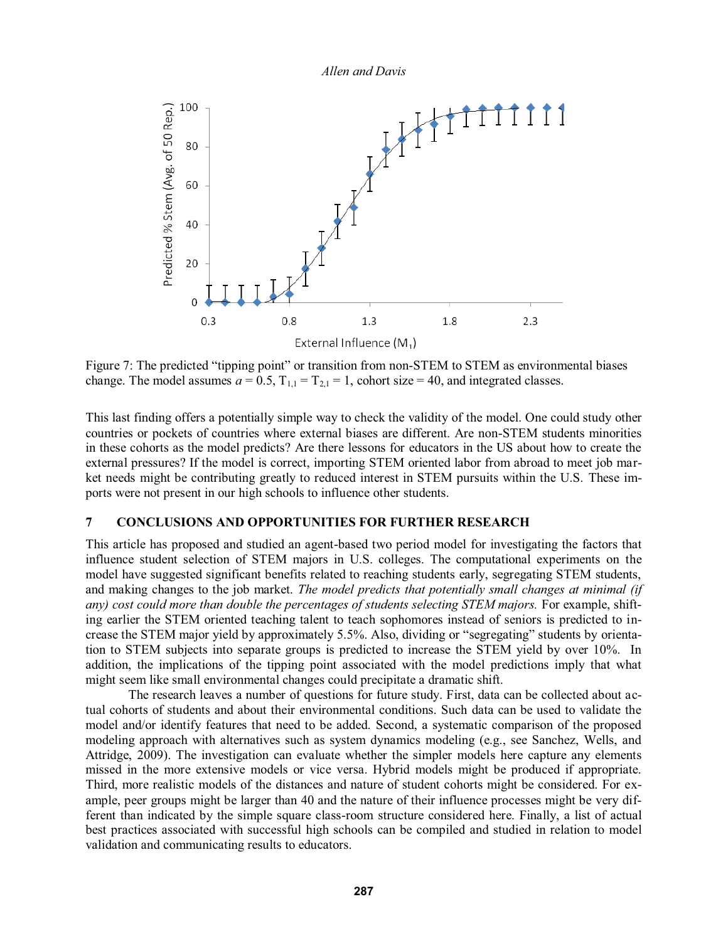

Figure 7: The predicted "tipping point" or transition from non-STEM to STEM as environmental biases change. The model assumes  $a = 0.5$ ,  $T_{1,1} = T_{2,1} = 1$ , cohort size = 40, and integrated classes.

This last finding offers a potentially simple way to check the validity of the model. One could study other countries or pockets of countries where external biases are different. Are non-STEM students minorities in these cohorts as the model predicts? Are there lessons for educators in the US about how to create the external pressures? If the model is correct, importing STEM oriented labor from abroad to meet job market needs might be contributing greatly to reduced interest in STEM pursuits within the U.S. These imports were not present in our high schools to influence other students.

## **7 CONCLUSIONS AND OPPORTUNITIES FOR FURTHER RESEARCH**

This article has proposed and studied an agent-based two period model for investigating the factors that influence student selection of STEM majors in U.S. colleges. The computational experiments on the model have suggested significant benefits related to reaching students early, segregating STEM students, and making changes to the job market. *The model predicts that potentially small changes at minimal (if any) cost could more than double the percentages of students selecting STEM majors.* For example, shifting earlier the STEM oriented teaching talent to teach sophomores instead of seniors is predicted to in crease the STEM major yield by approximately 5.5%. Also, dividing or "segregating" students by orientation to STEM subjects into separate groups is predicted to increase the STEM yield by over 10%. In addition, the implications of the tipping point associated with the model predictions imply that what might seem like small environmental changes could precipitate a dramatic shift.

 The research leaves a number of questions for future study. First, data can be collected about actual cohorts of students and about their environmental conditions. Such data can be used to validate the model and/or identify features that need to be added. Second, a systematic comparison of the proposed modeling approach with alternatives such as system dynamics modeling (e.g., see Sanchez, Wells, and Attridge, 2009). The investigation can evaluate whether the simpler models here capture any elements missed in the more extensive models or vice versa. Hybrid models might be produced if appropriate. Third, more realistic models of the distances and nature of student cohorts might be considered. For example, peer groups might be larger than 40 and the nature of their influence processes might be very different than indicated by the simple square class-room structure considered here. Finally, a list of actual best practices associated with successful high schools can be compiled and studied in relation to model validation and communicating results to educators.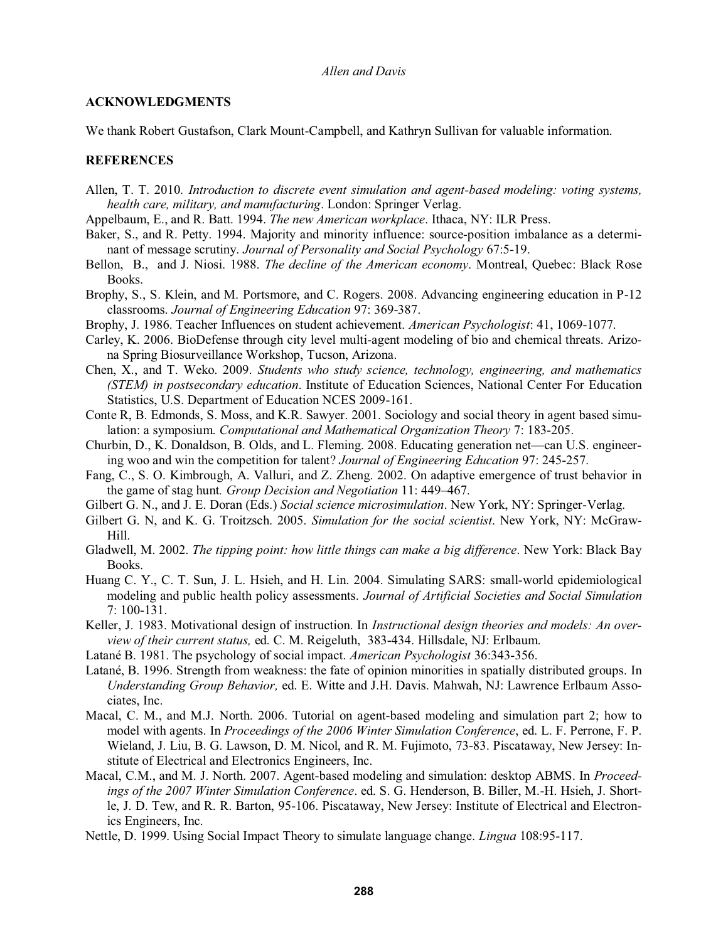### **ACKNOWLEDGMENTS**

We thank Robert Gustafson, Clark Mount-Campbell, and Kathryn Sullivan for valuable information.

#### **REFERENCES**

- Allen, T. T. 2010*. Introduction to discrete event simulation and agent-based modeling: voting systems, health care, military, and manufacturing*. London: Springer Verlag.
- Appelbaum, E., and R. Batt. 1994. *The new American workplace*. Ithaca, NY: ILR Press.
- Baker, S., and R. Petty. 1994. Majority and minority influence: source-position imbalance as a determinant of message scrutiny. *Journal of Personality and Social Psychology* 67:5-19.
- Bellon, B., and J. Niosi. 1988. *The decline of the American economy*. Montreal, Quebec: Black Rose Books.
- Brophy, S., S. Klein, and M. Portsmore, and C. Rogers. 2008. Advancing engineering education in P-12 classrooms. *Journal of Engineering Education* 97: 369-387.
- Brophy, J. 1986. Teacher Influences on student achievement. *American Psychologist*: 41, 1069-1077.
- Carley, K. 2006. BioDefense through city level multi-agent modeling of bio and chemical threats. Arizona Spring Biosurveillance Workshop, Tucson, Arizona.
- Chen, X., and T. Weko. 2009. *Students who study science, technology, engineering, and mathematics (STEM) in postsecondary education*. Institute of Education Sciences, National Center For Education Statistics, U.S. Department of Education NCES 2009-161.
- Conte R, B. Edmonds, S. Moss, and K.R. Sawyer. 2001. Sociology and social theory in agent based simulation: a symposium. *Computational and Mathematical Organization Theory* 7: 183-205.
- Churbin, D., K. Donaldson, B. Olds, and L. Fleming. 2008. Educating generation net—can U.S. engineering woo and win the competition for talent? *Journal of Engineering Education* 97: 245-257.
- Fang, C., S. O. Kimbrough, A. Valluri, and Z. Zheng. 2002. On adaptive emergence of trust behavior in the game of stag hunt*. Group Decision and Negotiation* 11: 449-467.
- Gilbert G. N., and J. E. Doran (Eds.) *Social science microsimulation*. New York, NY: Springer-Verlag.
- Gilbert G. N, and K. G. Troitzsch. 2005. *Simulation for the social scientist*. New York, NY: McGraw-Hill.
- Gladwell, M. 2002. *The tipping point: how little things can make a big difference*. New York: Black Bay Books.
- Huang C. Y., C. T. Sun, J. L. Hsieh, and H. Lin. 2004. Simulating SARS: small-world epidemiological modeling and public health policy assessments. *Journal of Artificial Societies and Social Simulation*  7: 100-131.
- Keller, J. 1983. Motivational design of instruction. In *Instructional design theories and models: An overview of their current status,* ed. C. M. Reigeluth, 383-434. Hillsdale, NJ: Erlbaum.
- Latané B. 1981. The psychology of social impact. *American Psychologist* 36:343-356.
- Latané, B. 1996. Strength from weakness: the fate of opinion minorities in spatially distributed groups. In *Understanding Group Behavior,* ed. E. Witte and J.H. Davis. Mahwah, NJ: Lawrence Erlbaum Associates, Inc.
- Macal, C. M., and M.J. North. 2006. Tutorial on agent-based modeling and simulation part 2; how to model with agents. In *Proceedings of the 2006 Winter Simulation Conference*, ed. L. F. Perrone, F. P. Wieland, J. Liu, B. G. Lawson, D. M. Nicol, and R. M. Fujimoto, 73-83. Piscataway, New Jersey: Institute of Electrical and Electronics Engineers, Inc.
- Macal, C.M., and M. J. North. 2007. Agent-based modeling and simulation: desktop ABMS. In *Proceedings of the 2007 Winter Simulation Conference*. ed. S. G. Henderson, B. Biller, M.-H. Hsieh, J. Shortle, J. D. Tew, and R. R. Barton, 95-106. Piscataway, New Jersey: Institute of Electrical and Electronics Engineers, Inc.
- Nettle, D. 1999. Using Social Impact Theory to simulate language change. *Lingua* 108:95-117.